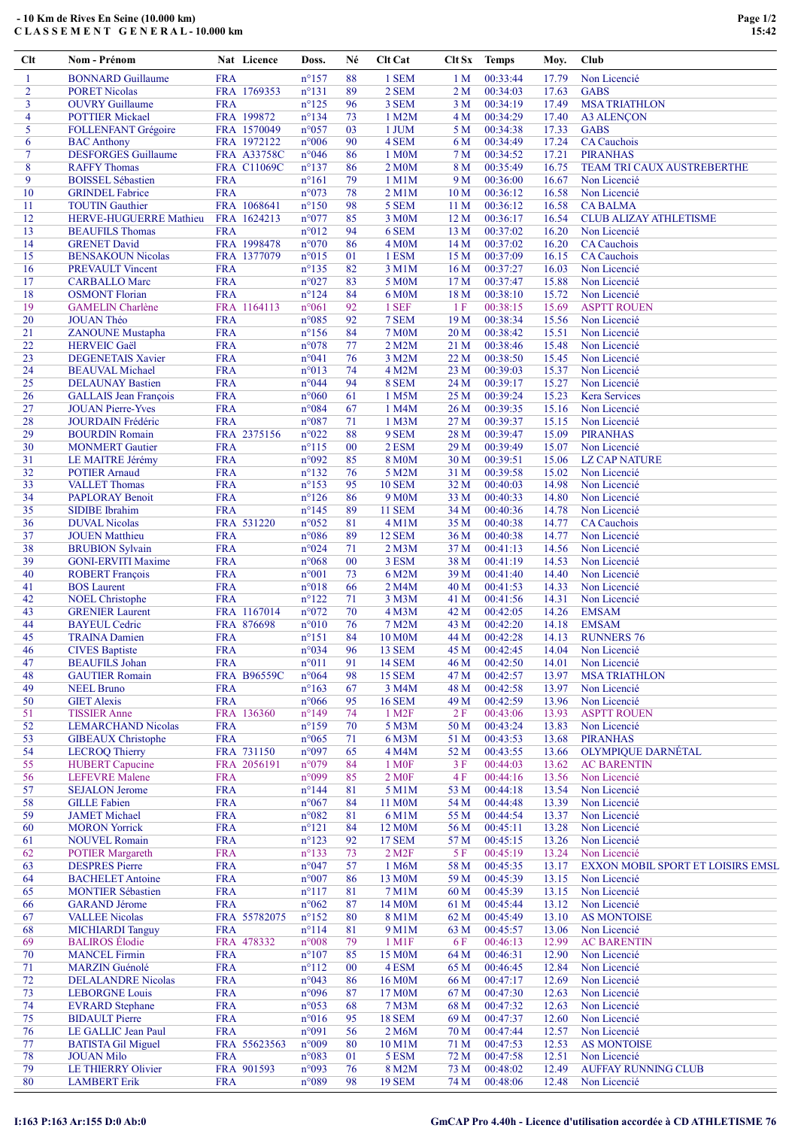## - 10 Km de Rives En Seine (10.000 km) C L A S S E M E N T G E N E R A L - 10.000 km

| Clt            | Nom - Prénom                                        |                          | Nat Licence        | Doss.                            | Né           | Clt Cat                      | Clt Sx                             | <b>Temps</b>         | Moy.           | Club                               |
|----------------|-----------------------------------------------------|--------------------------|--------------------|----------------------------------|--------------|------------------------------|------------------------------------|----------------------|----------------|------------------------------------|
| 1              | <b>BONNARD Guillaume</b>                            | <b>FRA</b>               |                    | $n^{\circ}157$                   | 88           | 1 SEM                        | 1 <sub>M</sub>                     | 00:33:44             | 17.79          | Non Licencié                       |
| $\overline{2}$ | <b>PORET Nicolas</b>                                |                          | FRA 1769353        | $n^{\circ}131$                   | 89           | 2 SEM                        | 2 M                                | 00:34:03             | 17.63          | <b>GABS</b>                        |
| 3              | <b>OUVRY</b> Guillaume                              | <b>FRA</b>               |                    | $n^{\circ}125$                   | 96           | 3 SEM                        | 3 <sub>M</sub>                     | 00:34:19             | 17.49          | <b>MSA TRIATHLON</b>               |
| 4              | <b>POTTIER Mickael</b>                              |                          | FRA 199872         | $n^{\circ}$ 134                  | 73           | 1 M2M                        | 4 M                                | 00:34:29             | 17.40          | <b>A3 ALENÇON</b>                  |
| 5              | FOLLENFANT Grégoire                                 |                          | FRA 1570049        | n°057                            | 03           | 1 JUM                        | 5 M                                | 00:34:38             | 17.33          | <b>GABS</b>                        |
| 6              | <b>BAC Anthony</b>                                  |                          | FRA 1972122        | n°006                            | 90           | 4 SEM                        | 6 M                                | 00:34:49             | 17.24          | <b>CA</b> Cauchois                 |
| $\tau$         | <b>DESFORGES Guillaume</b>                          |                          | <b>FRA A33758C</b> | n°046                            | 86           | 1 M0M                        | 7 <sub>M</sub>                     | 00:34:52             | 17.21          | <b>PIRANHAS</b>                    |
| 8              | <b>RAFFY Thomas</b>                                 |                          | <b>FRA C11069C</b> | $n^{\circ}137$                   | 86           | 2 M <sub>0</sub> M           | 8 M                                | 00:35:49             | 16.75          | <b>TEAM TRI CAUX AUSTREBERTHE</b>  |
| 9              | <b>BOISSEL Sébastien</b>                            | <b>FRA</b>               |                    | $n^{\circ}161$                   | 79           | 1 M1M                        | 9 M                                | 00:36:00             | 16.67          | Non Licencié                       |
| 10             | <b>GRINDEL Fabrice</b>                              | <b>FRA</b>               |                    | n°073                            | 78           | $2$ M $1$ M                  | 10 <sub>M</sub>                    | 00:36:12             | 16.58          | Non Licencié                       |
| 11             | <b>TOUTIN</b> Gauthier                              |                          | FRA 1068641        | $n^{\circ}150$                   | 98           | 5 SEM                        | 11 <sub>M</sub>                    | 00:36:12             | 16.58          | <b>CABALMA</b>                     |
| 12             | HERVE-HUGUERRE Mathieu                              |                          | FRA 1624213        | n°077                            | 85           | 3 M0M                        | 12M                                | 00:36:17             | 16.54          | <b>CLUB ALIZAY ATHLETISME</b>      |
| 13             | <b>BEAUFILS Thomas</b>                              | <b>FRA</b>               |                    | n°012                            | 94           | 6 SEM                        | 13 M                               | 00:37:02             | 16.20          | Non Licencié                       |
| 14             | <b>GRENET David</b>                                 |                          | FRA 1998478        | n°070                            | 86           | 4 M <sub>0</sub> M           | 14M                                | 00:37:02             | 16.20          | <b>CA</b> Cauchois                 |
| 15<br>16       | <b>BENSAKOUN Nicolas</b><br><b>PREVAULT Vincent</b> | <b>FRA</b>               | FRA 1377079        | n°015<br>$n^{\circ}$ 135         | 01<br>82     | 1 ESM<br>3 M1M               | 15 <sub>M</sub><br>16 <sub>M</sub> | 00:37:09<br>00:37:27 | 16.15<br>16.03 | <b>CA</b> Cauchois<br>Non Licencié |
| 17             | <b>CARBALLO Marc</b>                                | <b>FRA</b>               |                    | n°027                            | 83           | 5 M0M                        | 17 <sub>M</sub>                    | 00:37:47             | 15.88          | Non Licencié                       |
| 18             | <b>OSMONT Florian</b>                               | <b>FRA</b>               |                    | $n^{\circ}124$                   | 84           | 6 M0M                        | 18 M                               | 00:38:10             | 15.72          | Non Licencié                       |
| 19             | <b>GAMELIN</b> Charlène                             |                          | FRA 1164113        | $n^{\circ}061$                   | 92           | 1 SEF                        | 1F                                 | 00:38:15             | 15.69          | <b>ASPTT ROUEN</b>                 |
| 20             | <b>JOUAN Théo</b>                                   | <b>FRA</b>               |                    | n°085                            | 92           | 7 SEM                        | 19 <sub>M</sub>                    | 00:38:34             | 15.56          | Non Licencié                       |
| 21             | <b>ZANOUNE</b> Mustapha                             | <b>FRA</b>               |                    | $n^{\circ}156$                   | 84           | <b>7 M0M</b>                 | 20 <sub>M</sub>                    | 00:38:42             | 15.51          | Non Licencié                       |
| 22             | <b>HERVEIC Gaël</b>                                 | <b>FRA</b>               |                    | n°078                            | 77           | 2 M2M                        | 21 M                               | 00:38:46             | 15.48          | Non Licencié                       |
| 23             | <b>DEGENETAIS Xavier</b>                            | <b>FRA</b>               |                    | $n^{\circ}041$                   | 76           | 3 M2M                        | 22 M                               | 00:38:50             | 15.45          | Non Licencié                       |
| 24             | <b>BEAUVAL Michael</b>                              | <b>FRA</b>               |                    | n°013                            | 74           | 4 M2M                        | 23 M                               | 00:39:03             | 15.37          | Non Licencié                       |
| 25             | <b>DELAUNAY Bastien</b>                             | <b>FRA</b>               |                    | n°044                            | 94           | 8 SEM                        | 24 M                               | 00:39:17             | 15.27          | Non Licencié                       |
| 26             | <b>GALLAIS</b> Jean François                        | <b>FRA</b>               |                    | n°060                            | 61           | 1 M5M                        | 25 M                               | 00:39:24             | 15.23          | <b>Kera Services</b>               |
| 27             | <b>JOUAN Pierre-Yves</b>                            | <b>FRA</b>               |                    | n°084                            | 67           | 1 M4M                        | 26 M                               | 00:39:35             | 15.16          | Non Licencié                       |
| 28             | JOURDAIN Frédéric                                   | <b>FRA</b>               |                    | n°087                            | 71           | 1 M3M                        | 27 M                               | 00:39:37             | 15.15          | Non Licencié                       |
| 29             | <b>BOURDIN Romain</b>                               |                          | FRA 2375156        | $n^{\circ}022$                   | 88           | 9 SEM                        | 28 M                               | 00:39:47             | 15.09          | <b>PIRANHAS</b>                    |
| 30             | <b>MONMERT</b> Gautier                              | <b>FRA</b>               |                    | $n^{\circ}115$                   | $00\,$       | 2 ESM                        | 29 M                               | 00:39:49             | 15.07          | Non Licencié                       |
| 31             | LE MAITRE Jérémy                                    | <b>FRA</b>               |                    | n°092                            | 85           | <b>8 M0M</b>                 | 30 M                               | 00:39:51             | 15.06          | <b>LZ CAP NATURE</b>               |
| 32             | <b>POTIER Arnaud</b>                                | <b>FRA</b>               |                    | $n^{\circ}132$                   | 76           | 5 M2M                        | 31 M                               | 00:39:58             | 15.02          | Non Licencié                       |
| 33             | <b>VALLET Thomas</b>                                | <b>FRA</b>               |                    | $n^{\circ}153$                   | 95           | <b>10 SEM</b>                | 32 M                               | 00:40:03             | 14.98          | Non Licencié                       |
| 34             | <b>PAPLORAY Benoit</b>                              | <b>FRA</b>               |                    | $n^{\circ}126$                   | 86           | 9 M <sub>0</sub> M           | 33 M                               | 00:40:33             | 14.80          | Non Licencié                       |
| 35             | <b>SIDIBE</b> Ibrahim                               | <b>FRA</b>               |                    | $n^{\circ}$ 145                  | 89           | <b>11 SEM</b>                | 34 M                               | 00:40:36             | 14.78          | Non Licencié                       |
| 36             | <b>DUVAL Nicolas</b>                                |                          | FRA 531220         | n°052                            | 81           | 4 M1M                        | 35 M                               | 00:40:38             | 14.77          | <b>CA</b> Cauchois                 |
| 37             | <b>JOUEN</b> Matthieu                               | <b>FRA</b>               |                    | n°086                            | 89           | <b>12 SEM</b>                | 36 M                               | 00:40:38             | 14.77          | Non Licencié                       |
| 38             | <b>BRUBION Sylvain</b>                              | <b>FRA</b>               |                    | n°024                            | 71           | $2$ M $3$ M                  | 37 M                               | 00:41:13             | 14.56          | Non Licencié                       |
| 39             | <b>GONI-ERVITI Maxime</b>                           | <b>FRA</b>               |                    | n°068                            | 00           | 3 ESM                        | 38 M                               | 00:41:19             | 14.53          | Non Licencié                       |
| 40             | <b>ROBERT</b> François                              | <b>FRA</b>               |                    | $n^{\circ}001$                   | 73           | 6 M2M                        | 39 M                               | 00:41:40             | 14.40          | Non Licencié                       |
| 41<br>42       | <b>BOS</b> Laurent<br><b>NOEL Christophe</b>        | <b>FRA</b>               |                    | n°018<br>$n^{\circ}122$          | 66<br>71     | 2 M4M<br>3 M3M               | 40 M<br>41 M                       | 00:41:53<br>00:41:56 | 14.33<br>14.31 | Non Licencié<br>Non Licencié       |
| 43             | <b>GRENIER Laurent</b>                              | <b>FRA</b>               | FRA 1167014        | $n^{\circ}072$                   | 70           | 4 M3M                        | 42 M                               | 00:42:05             | 14.26          | <b>EMSAM</b>                       |
| 44             | <b>BAYEUL Cedric</b>                                |                          | FRA 876698         | n°010                            | 76           | 7 M2M                        | 43 M                               | 00:42:20             | 14.18          | <b>EMSAM</b>                       |
| 45             | <b>TRAINA</b> Damien                                | <b>FRA</b>               |                    | $n^{\circ}151$                   | 84           | 10 M <sub>0</sub> M          | 44 M                               | 00:42:28             | 14.13          | <b>RUNNERS 76</b>                  |
| 46             | <b>CIVES Baptiste</b>                               | <b>FRA</b>               |                    | n°034                            | 96           | <b>13 SEM</b>                | 45 M                               | 00:42:45             | 14.04          | Non Licencié                       |
| 47             | <b>BEAUFILS Johan</b>                               | <b>FRA</b>               |                    | $n^{\circ}011$                   | 91           | <b>14 SEM</b>                | 46 M                               | 00:42:50             | 14.01          | Non Licencié                       |
| 48             | <b>GAUTIER Romain</b>                               |                          | <b>FRA B96559C</b> | n°064                            | 98           | <b>15 SEM</b>                | 47 M                               | 00:42:57             | 13.97          | <b>MSA TRIATHLON</b>               |
| 49             | <b>NEEL Bruno</b>                                   | <b>FRA</b>               |                    | $n^{\circ}163$                   | 67           | 3 M4M                        | 48 M                               | 00:42:58             | 13.97          | Non Licencié                       |
| 50             | <b>GIET Alexis</b>                                  | <b>FRA</b>               |                    | n°066                            | 95           | <b>16 SEM</b>                | 49 M                               | 00:42:59             | 13.96          | Non Licencié                       |
| 51             | <b>TISSIER Anne</b>                                 |                          | FRA 136360         | $n^{\circ}$ 149                  | 74           | 1 M <sub>2</sub> F           | 2F                                 | 00:43:06             | 13.93          | <b>ASPTT ROUEN</b>                 |
| 52             | <b>LEMARCHAND Nicolas</b>                           | <b>FRA</b>               |                    | $n^{\circ}159$                   | 70           | 5 M3M                        | 50 M                               | 00:43:24             | 13.83          | Non Licencié                       |
| 53             | <b>GIBEAUX</b> Christophe                           | <b>FRA</b>               |                    | n°065                            | 71           | 6 M3M                        | 51 M                               | 00:43:53             | 13.68          | <b>PIRANHAS</b>                    |
| 54             | <b>LECROQ Thierry</b>                               |                          | FRA 731150         | n°097                            | 65           | 4 M4M                        | 52 M                               | 00:43:55             | 13.66          | <b>OLYMPIQUE DARNÉTAL</b>          |
| 55             | <b>HUBERT</b> Capucine                              |                          | FRA 2056191        | n°079                            | 84           | 1 M <sub>OF</sub>            | 3F                                 | 00:44:03             | 13.62          | <b>AC BARENTIN</b>                 |
| 56             | <b>LEFEVRE</b> Malene                               | <b>FRA</b>               |                    | n°099                            | 85           | 2 M <sub>OF</sub>            | 4F                                 | 00:44:16             | 13.56          | Non Licencié                       |
| 57             | <b>SEJALON</b> Jerome                               | <b>FRA</b>               |                    | $n^{\circ}$ 144                  | 81           | 5 M1M                        | 53 M                               | 00:44:18             | 13.54          | Non Licencié                       |
| 58             | <b>GILLE</b> Fabien                                 | <b>FRA</b>               |                    | n°067                            | 84           | 11 M <sub>0</sub> M          | 54 M                               | 00:44:48             | 13.39          | Non Licencié                       |
| 59             | <b>JAMET Michael</b>                                | <b>FRA</b>               |                    | n°082                            | 81           | 6 M1M                        | 55 M                               | 00:44:54             | 13.37          | Non Licencié                       |
| 60             | <b>MORON</b> Yorrick                                | <b>FRA</b>               |                    | $n^{\circ}121$                   | 84           | 12 M <sub>0</sub> M          | 56 M                               | 00:45:11             | 13.28          | Non Licencié                       |
| 61             | <b>NOUVEL Romain</b>                                | <b>FRA</b>               |                    | $n^{\circ}123$                   | 92           | <b>17 SEM</b>                | 57 M                               | 00:45:15             | 13.26          | Non Licencié                       |
| 62             | <b>POTIER Margareth</b>                             | <b>FRA</b>               |                    | $n^{\circ}133$                   | 73           | 2 M <sub>2</sub> F           | 5F                                 | 00:45:19             | 13.24          | Non Licencié                       |
| 63             | <b>DESPRES Pierre</b>                               | <b>FRA</b>               |                    | n°047                            | 57           | 1 M6M                        | 58 M                               | 00:45:35             | 13.17          | EXXON MOBIL SPORT ET LOISIRS EMSL  |
| 64             | <b>BACHELET Antoine</b>                             | <b>FRA</b>               |                    | n°007                            | 86           | 13 M <sub>0</sub> M          | 59 M                               | 00:45:39             | 13.15          | Non Licencié                       |
| 65             | <b>MONTIER Sébastien</b>                            | <b>FRA</b>               |                    | $n^{\circ}117$                   | 81           | 7 M1M                        | 60 <sub>M</sub>                    | 00:45:39             | 13.15          | Non Licencié                       |
| 66             | <b>GARAND Jérome</b>                                | <b>FRA</b>               |                    | $n^{\circ}062$                   | 87           | 14 M <sub>0</sub> M          | 61 M                               | 00:45:44             | 13.12          | Non Licencié                       |
| 67             | <b>VALLEE Nicolas</b>                               |                          | FRA 55782075       | $n^{\circ}152$                   | 80           | 8 M1M                        | 62 M                               | 00:45:49             | 13.10          | <b>AS MONTOISE</b>                 |
| 68             | <b>MICHIARDI Tanguy</b>                             | <b>FRA</b>               |                    | $n^{\circ}114$                   | 81           | 9 M1M                        | 63 M                               | 00:45:57             | 13.06          | Non Licencié                       |
| 69             | <b>BALIROS</b> Elodie                               |                          | FRA 478332         | $n^{\circ}008$                   | 79           | 1 M1F                        | 6F                                 | 00:46:13             | 12.99          | <b>AC BARENTIN</b>                 |
| 70<br>71       | <b>MANCEL Firmin</b><br><b>MARZIN Guénolé</b>       | <b>FRA</b><br><b>FRA</b> |                    | $n^{\circ}107$<br>$n^{\circ}112$ | 85<br>$00\,$ | 15 M <sub>0</sub> M<br>4 ESM | 64 M                               | 00:46:31<br>00:46:45 | 12.90<br>12.84 | Non Licencié<br>Non Licencié       |
| 72             | <b>DELALANDRE Nicolas</b>                           | <b>FRA</b>               |                    | n°043                            | 86           | 16 M0M                       | 65 M<br>66 M                       | 00:47:17             | 12.69          | Non Licencié                       |
| 73             | <b>LEBORGNE Louis</b>                               | <b>FRA</b>               |                    | n°096                            | 87           | 17 M0M                       | 67 M                               | 00:47:30             | 12.63          | Non Licencié                       |
| 74             | <b>EVRARD</b> Stephane                              | <b>FRA</b>               |                    | n°053                            | 68           | 7 M3M                        | 68 M                               | 00:47:32             | 12.63          | Non Licencié                       |
| 75             | <b>BIDAULT</b> Pierre                               | <b>FRA</b>               |                    | $n^{\circ}016$                   | 95           | <b>18 SEM</b>                | 69 M                               | 00:47:37             | 12.60          | Non Licencié                       |
| 76             | LE GALLIC Jean Paul                                 | <b>FRA</b>               |                    | n°091                            | 56           | 2 M6M                        | 70 M                               | 00:47:44             | 12.57          | Non Licencié                       |
| 77             | <b>BATISTA Gil Miguel</b>                           |                          | FRA 55623563       | n°009                            | 80           | 10 M1M                       | 71 M                               | 00:47:53             | 12.53          | <b>AS MONTOISE</b>                 |
| 78             | <b>JOUAN Milo</b>                                   | <b>FRA</b>               |                    | n°083                            | 01           | 5 ESM                        | 72 M                               | 00:47:58             | 12.51          | Non Licencié                       |
| 79             | LE THIERRY Olivier                                  |                          | FRA 901593         | n°093                            | 76           | 8 M2M                        | 73 M                               | 00:48:02             | 12.49          | <b>AUFFAY RUNNING CLUB</b>         |
| 80             | <b>LAMBERT Erik</b>                                 | <b>FRA</b>               |                    | n°089                            | 98           | <b>19 SEM</b>                | 74 M                               | 00:48:06             | 12.48          | Non Licencié                       |

## I:163 P:163 Ar:155 D:0 Ab:0 GmCAP Pro 4.40h - Licence d'utilisation accordée à CD ATHLETISME 76